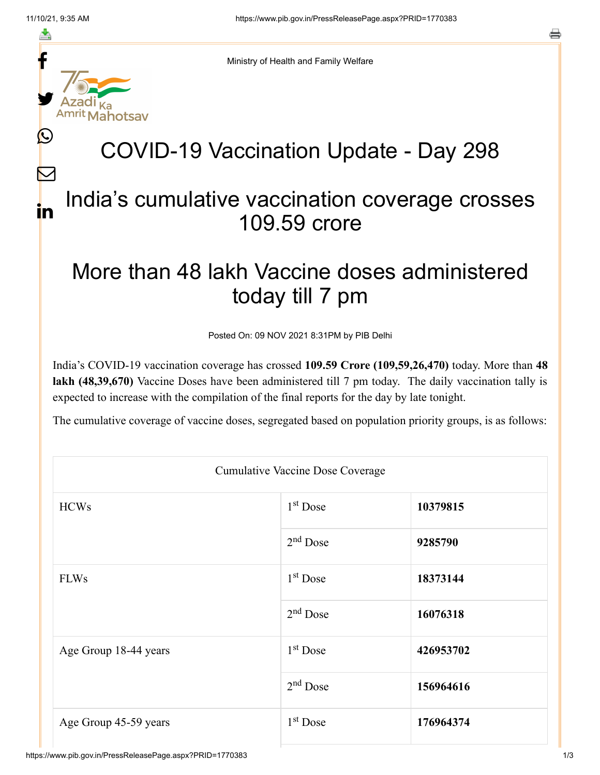≛

 $\bm{\nabla}$ 

in



Ministry of Health and Family Welfare

## COVID-19 Vaccination Update - Day 298

## India's cumulative vaccination coverage crosses 109.59 crore

## More than 48 lakh Vaccine doses administered today till 7 pm

Posted On: 09 NOV 2021 8:31PM by PIB Delhi

India's COVID-19 vaccination coverage has crossed **109.59 Crore (109,59,26,470)** today. More than **48 lakh (48,39,670)** Vaccine Doses have been administered till 7 pm today. The daily vaccination tally is expected to increase with the compilation of the final reports for the day by late tonight.

The cumulative coverage of vaccine doses, segregated based on population priority groups, is as follows:

| <b>Cumulative Vaccine Dose Coverage</b> |                      |           |  |  |
|-----------------------------------------|----------------------|-----------|--|--|
| <b>HCWs</b>                             | 1 <sup>st</sup> Dose | 10379815  |  |  |
|                                         | $2nd$ Dose           | 9285790   |  |  |
| <b>FLWs</b>                             | $1st$ Dose           | 18373144  |  |  |
|                                         | 2 <sup>nd</sup> Dose | 16076318  |  |  |
| Age Group 18-44 years                   | $1st$ Dose           | 426953702 |  |  |
|                                         | $2nd$ Dose           | 156964616 |  |  |
| Age Group 45-59 years                   | $1st$ Dose           | 176964374 |  |  |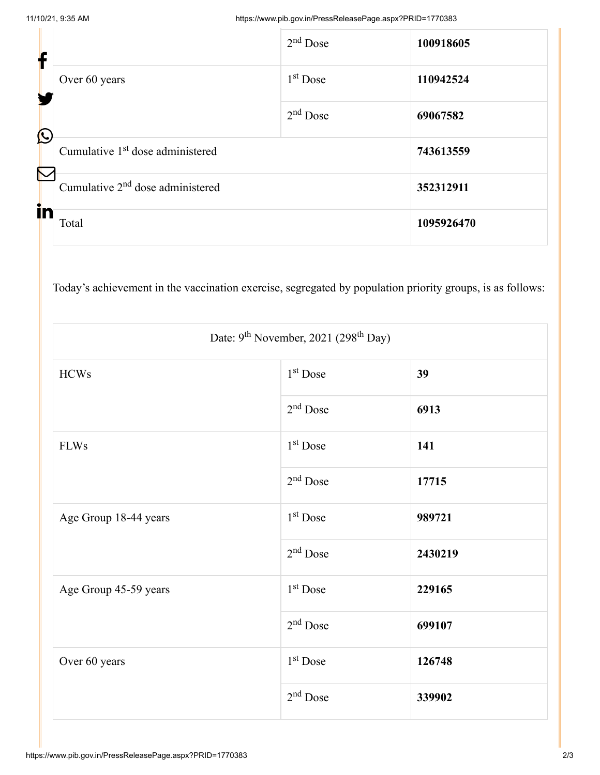| f                     |                                              | $2nd$ Dose | 100918605  |
|-----------------------|----------------------------------------------|------------|------------|
|                       | Over 60 years                                | $1st$ Dose | 110942524  |
| $\bigcirc$            |                                              | $2nd$ Dose | 69067582   |
| $\boldsymbol{\nabla}$ | Cumulative 1 <sup>st</sup> dose administered |            | 743613559  |
|                       | Cumulative 2 <sup>nd</sup> dose administered | 352312911  |            |
| in                    | Total                                        |            | 1095926470 |

Today's achievement in the vaccination exercise, segregated by population priority groups, is as follows:

| Date: 9 <sup>th</sup> November, 2021 (298 <sup>th</sup> Day) |                      |         |  |  |
|--------------------------------------------------------------|----------------------|---------|--|--|
| <b>HCWs</b>                                                  | 1 <sup>st</sup> Dose | 39      |  |  |
|                                                              | $2nd$ Dose           | 6913    |  |  |
| <b>FLWs</b>                                                  | 1 <sup>st</sup> Dose | 141     |  |  |
|                                                              | $2nd$ Dose           | 17715   |  |  |
| Age Group 18-44 years                                        | 1 <sup>st</sup> Dose | 989721  |  |  |
|                                                              | $2nd$ Dose           | 2430219 |  |  |
| Age Group 45-59 years                                        | 1 <sup>st</sup> Dose | 229165  |  |  |
|                                                              | $2nd$ Dose           | 699107  |  |  |
| Over 60 years                                                | $1st$ Dose           | 126748  |  |  |
|                                                              | $2nd$ Dose           | 339902  |  |  |